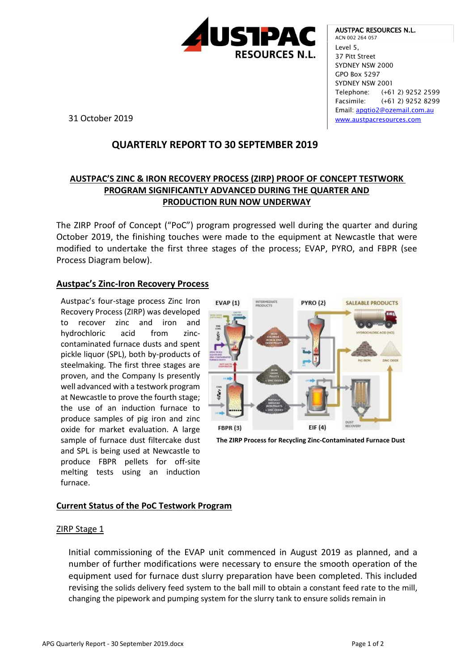

AUSTPAC RESOURCES N.L. ACN 002 264 057 Level 5, 37 Pitt Street SYDNEY NSW 2000 GPO Box 5297 SYDNEY NSW 2001 Telephone: (+61 2) 9252 2599 Facsimile: (+61 2) 9252 8299 Email: [apgtio2@ozemail.com.au](mailto:apgtio2@ozemail.com.au) [www.austpacresources.com](http://www.austpacresources.com/)

31 October 2019

# **QUARTERLY REPORT TO 30 SEPTEMBER 2019**

## **AUSTPAC'S ZINC & IRON RECOVERY PROCESS (ZIRP) PROOF OF CONCEPT TESTWORK PROGRAM SIGNIFICANTLY ADVANCED DURING THE QUARTER AND PRODUCTION RUN NOW UNDERWAY**

The ZIRP Proof of Concept ("PoC") program progressed well during the quarter and during October 2019, the finishing touches were made to the equipment at Newcastle that were modified to undertake the first three stages of the process; EVAP, PYRO, and FBPR (see Process Diagram below).

### **Austpac's Zinc-Iron Recovery Process**

Austpac's four-stage process Zinc Iron Recovery Process (ZIRP) was developed to recover zinc and iron and hydrochloric acid from zinccontaminated furnace dusts and spent pickle liquor (SPL), both by-products of steelmaking. The first three stages are proven, and the Company Is presently well advanced with a testwork program at Newcastle to prove the fourth stage; the use of an induction furnace to produce samples of pig iron and zinc oxide for market evaluation. A large sample of furnace dust filtercake dust and SPL is being used at Newcastle to produce FBPR pellets for off-site melting tests using an induction furnace.



**The ZIRP Process for Recycling Zinc-Contaminated Furnace Dust**

### **Current Status of the PoC Testwork Program**

#### ZIRP Stage 1

Initial commissioning of the EVAP unit commenced in August 2019 as planned, and a number of further modifications were necessary to ensure the smooth operation of the equipment used for furnace dust slurry preparation have been completed. This included revising the solids delivery feed system to the ball mill to obtain a constant feed rate to the mill, changing the pipework and pumping system for the slurry tank to ensure solids remain in